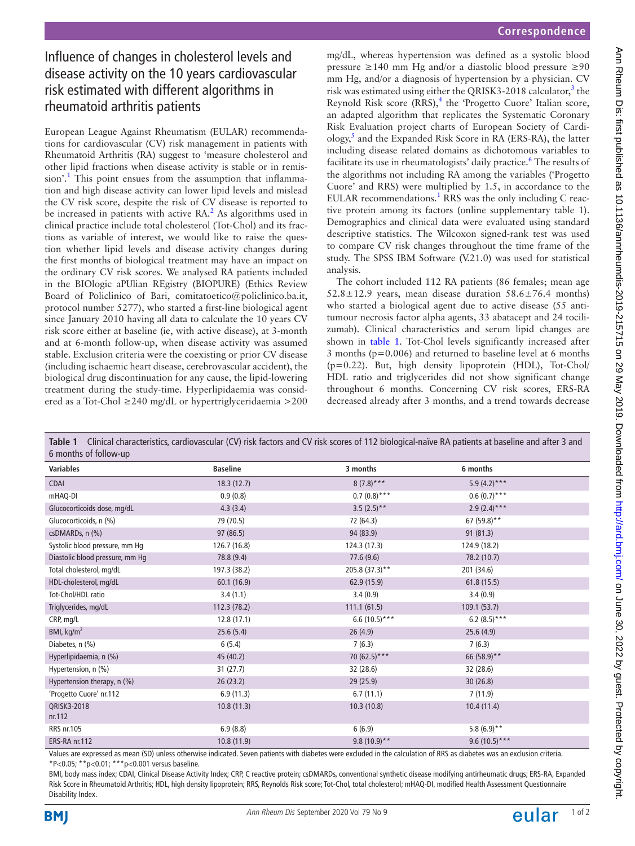# Influence of changes in cholesterol levels and disease activity on the 10 years cardiovascular risk estimated with different algorithms in rheumatoid arthritis patients

European League Against Rheumatism (EULAR) recommendations for cardiovascular (CV) risk management in patients with Rheumatoid Arthritis (RA) suggest to 'measure cholesterol and other lipid fractions when disease activity is stable or in remis-sion'.<sup>[1](#page-1-0)</sup> This point ensues from the assumption that inflammation and high disease activity can lower lipid levels and mislead the CV risk score, despite the risk of CV disease is reported to be increased in patients with active RA.<sup>2</sup> As algorithms used in clinical practice include total cholesterol (Tot-Chol) and its fractions as variable of interest, we would like to raise the question whether lipid levels and disease activity changes during the first months of biological treatment may have an impact on the ordinary CV risk scores. We analysed RA patients included in the BIOlogic aPUlian REgistry (BIOPURE) (Ethics Review Board of Policlinico of Bari, comitatoetico@policlinico.ba.it, protocol number 5277), who started a first-line biological agent since January 2010 having all data to calculate the 10 years CV risk score either at baseline (ie, with active disease), at 3-month and at 6-month follow-up, when disease activity was assumed stable. Exclusion criteria were the coexisting or prior CV disease (including ischaemic heart disease, cerebrovascular accident), the biological drug discontinuation for any cause, the lipid-lowering treatment during the study-time. Hyperlipidaemia was considered as a Tot-Chol ≥240 mg/dL or hypertriglyceridaemia >200

mg/dL, whereas hypertension was defined as a systolic blood pressure ≥140 mm Hg and/or a diastolic blood pressure ≥90 mm Hg, and/or a diagnosis of hypertension by a physician. CV risk was estimated using either the QRISK[3](#page-1-2)-2018 calculator,<sup>3</sup> the Reynold Risk score (RRS),<sup>[4](#page-1-3)</sup> the 'Progetto Cuore' Italian score, an adapted algorithm that replicates the Systematic Coronary Risk Evaluation project charts of European Society of Cardi-ology,<sup>[5](#page-1-4)</sup> and the Expanded Risk Score in RA (ERS-RA), the latter including disease related domains as dichotomous variables to facilitate its use in rheumatologists' daily practice.<sup>[6](#page-1-5)</sup> The results of the algorithms not including RA among the variables ('Progetto Cuore' and RRS) were multiplied by 1.5, in accordance to the EULAR recommendations.<sup>[1](#page-1-0)</sup> RRS was the only including C reactive protein among its factors ([online supplementary table 1\)](https://dx.doi.org/10.1136/annrheumdis-2019-215715). Demographics and clinical data were evaluated using standard descriptive statistics. The Wilcoxon signed-rank test was used to compare CV risk changes throughout the time frame of the study. The SPSS IBM Software (V.21.0) was used for statistical analysis.

The cohort included 112 RA patients (86 females; mean age 52.8 $\pm$ 12.9 years, mean disease duration 58.6 $\pm$ 76.4 months) who started a biological agent due to active disease (55 antitumour necrosis factor alpha agents, 33 abatacept and 24 tocilizumab). Clinical characteristics and serum lipid changes are shown in [table](#page-0-0) 1. Tot-Chol levels significantly increased after 3 months (p=0.006) and returned to baseline level at 6 months (p=0.22). But, high density lipoprotein (HDL), Tot-Chol/ HDL ratio and triglycerides did not show significant change throughout 6 months. Concerning CV risk scores, ERS-RA decreased already after 3 months, and a trend towards decrease

<span id="page-0-0"></span>**Table 1** Clinical characteristics, cardiovascular (CV) risk factors and CV risk scores of 112 biological-naïve RA patients at baseline and after 3 and 6 months of follow-up

| <b>D</b> INDITIALS OF TOHOW-UP  |                 |                 |                 |  |
|---------------------------------|-----------------|-----------------|-----------------|--|
| <b>Variables</b>                | <b>Baseline</b> | 3 months        | 6 months        |  |
| <b>CDAI</b>                     | 18.3(12.7)      | $8(7.8)***$     | 5.9 $(4.2)$ *** |  |
| mHAQ-DI                         | 0.9(0.8)        | $0.7(0.8)$ ***  | $0.6(0.7)$ ***  |  |
| Glucocorticoids dose, mg/dL     | 4.3(3.4)        | $3.5(2.5)$ **   | $2.9(2.4)***$   |  |
| Glucocorticoids, n (%)          | 79 (70.5)       | 72 (64.3)       | 67 (59.8)**     |  |
| csDMARDs, n (%)                 | 97(86.5)        | 94 (83.9)       | 91(81.3)        |  |
| Systolic blood pressure, mm Hg  | 126.7 (16.8)    | 124.3 (17.3)    | 124.9 (18.2)    |  |
| Diastolic blood pressure, mm Hg | 78.8 (9.4)      | 77.6 (9.6)      | 78.2 (10.7)     |  |
| Total cholesterol, mg/dL        | 197.3 (38.2)    | 205.8 (37.3)**  | 201 (34.6)      |  |
| HDL-cholesterol, mg/dL          | 60.1(16.9)      | 62.9(15.9)      | 61.8(15.5)      |  |
| Tot-Chol/HDL ratio              | 3.4(1.1)        | 3.4(0.9)        | 3.4(0.9)        |  |
| Triglycerides, mg/dL            | 112.3(78.2)     | 111.1(61.5)     | 109.1(53.7)     |  |
| CRP, mg/L                       | 12.8(17.1)      | $6.6(10.5)***$  | 6.2 $(8.5)$ *** |  |
| BMI, $kg/m2$                    | 25.6(5.4)       | 26(4.9)         | 25.6(4.9)       |  |
| Diabetes, n (%)                 | 6(5.4)          | 7(6.3)          | 7(6.3)          |  |
| Hyperlipidaemia, n (%)          | 45 (40.2)       | 70 $(62.5)$ *** | 66 (58.9)**     |  |
| Hypertension, n (%)             | 31(27.7)        | 32 (28.6)       | 32 (28.6)       |  |
| Hypertension therapy, n (%)     | 26(23.2)        | 29(25.9)        | 30(26.8)        |  |
| 'Progetto Cuore' nr.112         | 6.9(11.3)       | 6.7(11.1)       | 7(11.9)         |  |
| ORISK3-2018<br>nr.112           | 10.8(11.3)      | 10.3(10.8)      | 10.4(11.4)      |  |
| RRS nr.105                      | 6.9(8.8)        | 6(6.9)          | 5.8 $(6.9)$ **  |  |
| ERS-RA nr.112                   | 10.8(11.9)      | $9.8(10.9)$ **  | $9.6(10.5)***$  |  |

Values are expressed as mean (SD) unless otherwise indicated. Seven patients with diabetes were excluded in the calculation of RRS as diabetes was an exclusion criteria. \*P<0.05; \*\*p<0.01; \*\*\*p<0.001 versus baseline.

BMI, body mass index; CDAI, Clinical Disease Activity Index; CRP, C reactive protein; csDMARDs, conventional synthetic disease modifying antirheumatic drugs; ERS-RA, Expanded Risk Score in Rheumatoid Arthritis; HDL, high density lipoprotein; RRS, Reynolds Risk score; Tot-Chol, total cholesterol; mHAQ-DI, modified Health Assessment Questionnaire Disability Index.